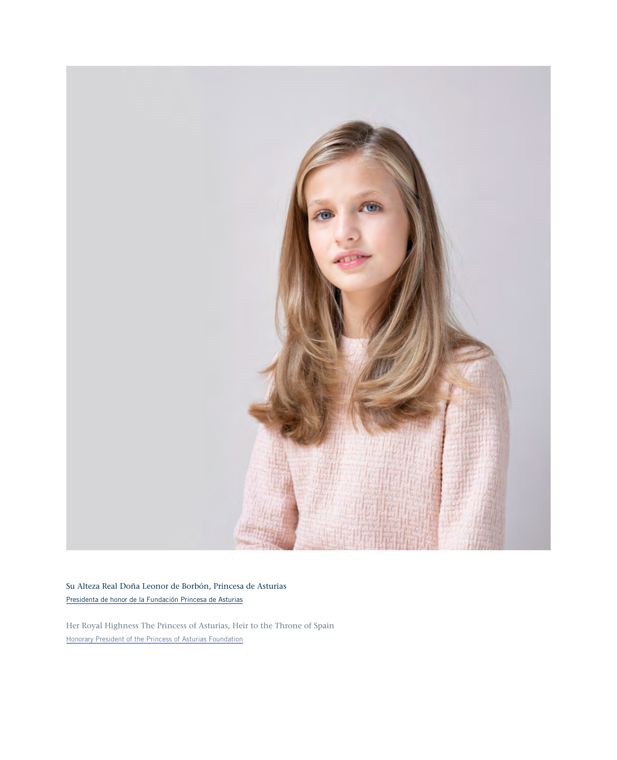

Su Alteza Real Doña Leonor de Borbón, Princesa de Asturias Presidenta de honor de la Fundación Princesa de Asturias

[Her Royal Highness The Princess of Asturias, Heir to the Throne of Spain](https://www.fpa.es/en/hrh-the-princess-of-asturias/) Honorary President of the Princess of Asturias Foundation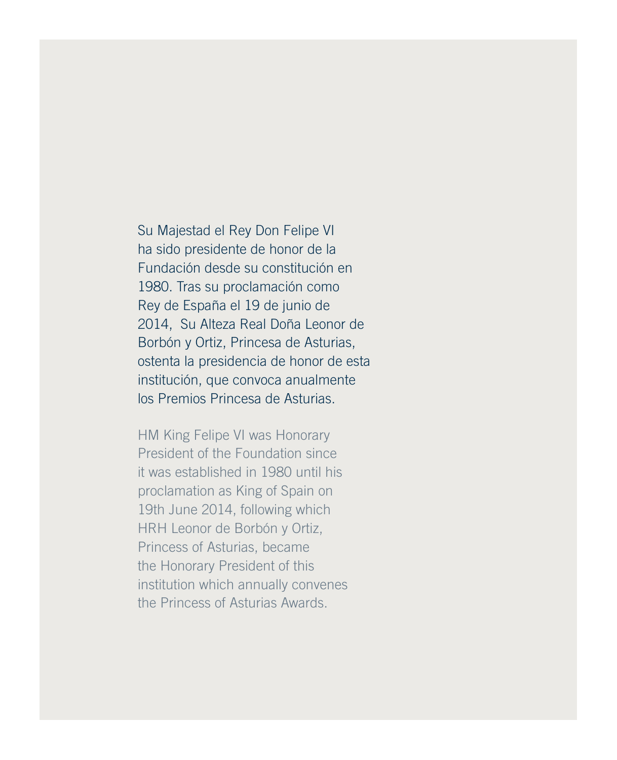Su Majestad el Rey Don Felipe VI ha sido presidente de honor de la Fundación desde su constitución en 1980. Tras su proclamación como Rey de España el 19 de junio de 2014, Su Alteza Real Doña Leonor de Borbón y Ortiz, Princesa de Asturias, ostenta la presidencia de honor de esta institución, que convoca anualmente los Premios Princesa de Asturias.

HM King Felipe VI was Honorary President of the Foundation since it was established in 1980 until his proclamation as King of Spain on 19th June 2014, following which HRH Leonor de Borbón y Ortiz, Princess of Asturias, became the Honorary President of this institution which annually convenes the Princess of Asturias Awards.